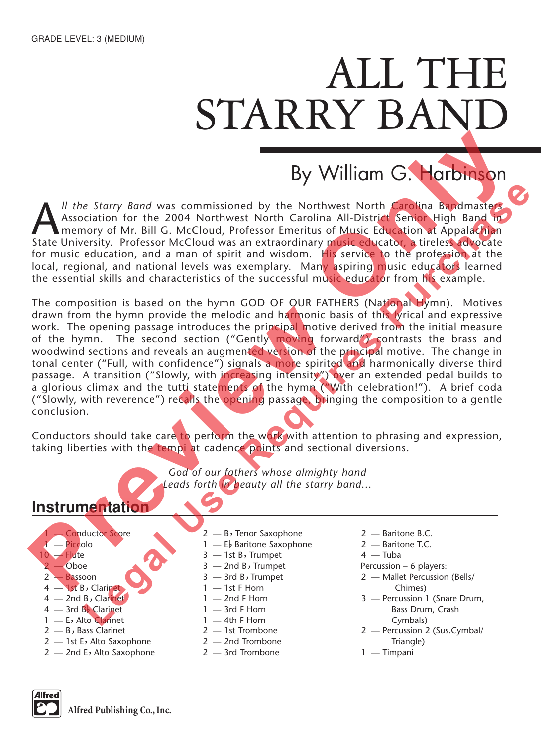## ALL THE STARRY BAN

## By William G. Harbinson

*All the Starry Band* was commissioned by the Northwest North Carolina Bandmasters<br>Association for the 2004 Northwest North Carolina All-District Senior High Band in<br>State University, Professor McCloud was an extraordinary Association for the 2004 Northwest North Carolina All-District Senior High Band in memory of Mr. Bill G. McCloud, Professor Emeritus of Music Education at Appalachian State University. Professor McCloud was an extraordinary music educator, a tireless advocate for music education, and a man of spirit and wisdom. His service to the profession at the local, regional, and national levels was exemplary. Many aspiring music educators learned the essential skills and characteristics of the successful music educator from his example.

The composition is based on the hymn GOD OF OUR FATHERS (National Hymn). Motives drawn from the hymn provide the melodic and harmonic basis of this lyrical and expressive work. The opening passage introduces the principal motive derived from the initial measure of the hymn. The second section ("Gently moving forward") contrasts the brass and woodwind sections and reveals an augmented version of the principal motive. The change in tonal center ("Full, with confidence") signals a more spirited and harmonically diverse third passage. A transition ("Slowly, with increasing intensity") over an extended pedal builds to a glorious climax and the tutti statements of the hymn ("With celebration!"). A brief coda ("Slowly, with reverence") recalls the opening passage, bringing the composition to a gentle conclusion. **Previously and the starry Band was commissioned by the Northwest North Calibra Bandmann and Ansociation of the 2004 Northwest North Calibra Summaring Measure Units of the more and the Calibration and a mann of spirit and Legal Use According to the COV** Multimary that the state of the SUC of the BII C. McCloud And the Number Control of the SUC of the SUC of the SUC of the SUC of the SUC of the SUC of the SUC of the SUC of the SUC of the S

Conductors should take care to perform the work with attention to phrasing and expression, taking liberties with the tempi at cadence points and sectional diversions.

> *God of our fathers whose almighty hand Leads forth in beauty all the starry band*...

## **Instrumentation**

- Conductor Score 1 — Piccolo  $-$  Flute 2 — Oboe 2 — Bassoon  $4 - 1$ st B<sub>b</sub> Clarinet  $4 - 2$ nd B $\frac{1}{2}$  Clarinet  $4 - 3$ rd B<sub>2</sub> Clarinet  $1 - E_b$  Alto Clarinet
- $2 B$  Bass Clarinet
- $2 1$ st E<sub>b</sub> Alto Saxophone
- $2 2$ nd E<sub>b</sub> Alto Saxophone
- $2 B$ <sub>b</sub> Tenor Saxophone
- $1 E_b$  Baritone Saxophone
- $3 1$ st B<sub>b</sub> Trumpet
- $3 2$ nd B $\flat$  Trumpet
- $3 3$ rd B<sub>b</sub> Trumpet
- 1 1st F Horn
- $1 2$ nd F Horn
- $1 3$ rd F Horn
- $1 4$ th F Horn
- 2 1st Trombone
- 2 2nd Trombone
- 2 3rd Trombone
- 2 Baritone B.C.
- 2 Baritone T.C.
- $4 -$ Tuba
- Percussion 6 players:
- 2 Mallet Percussion (Bells/
	- Chimes)
- 3 Percussion 1 (Snare Drum, Bass Drum, Crash Cymbals)
	-
- 2 Percussion 2 (Sus.Cymbal/ Triangle)
- 1 Timpani

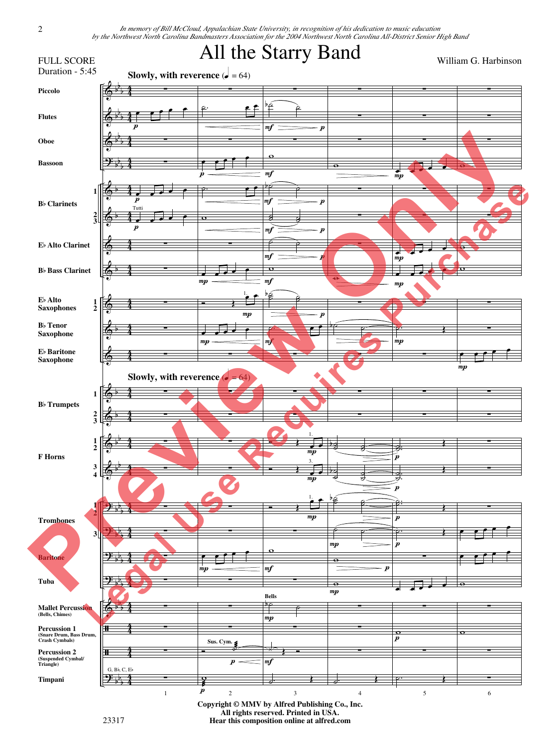*In memory of Bill McCloud, Appalachian State University, in recognition of his dedication to music education*



23317 **Hear this composition online at alfred.com**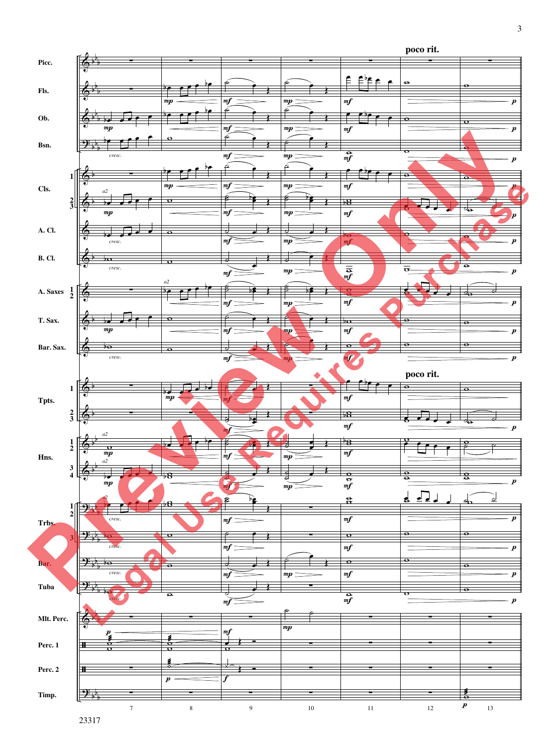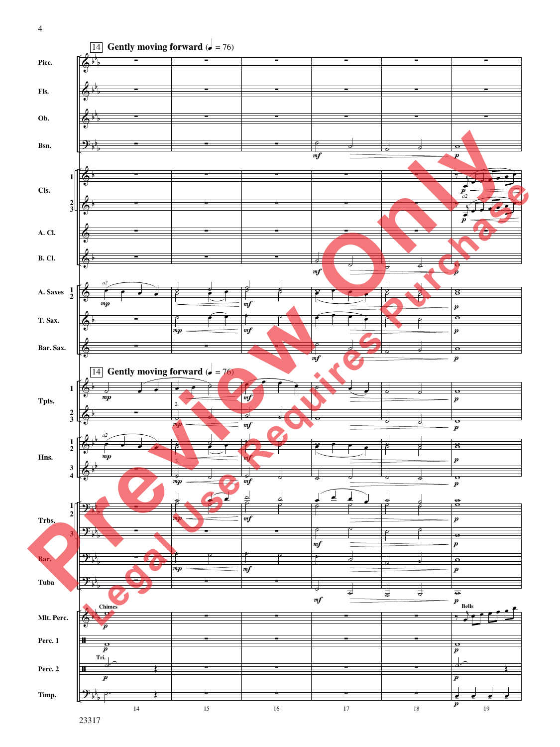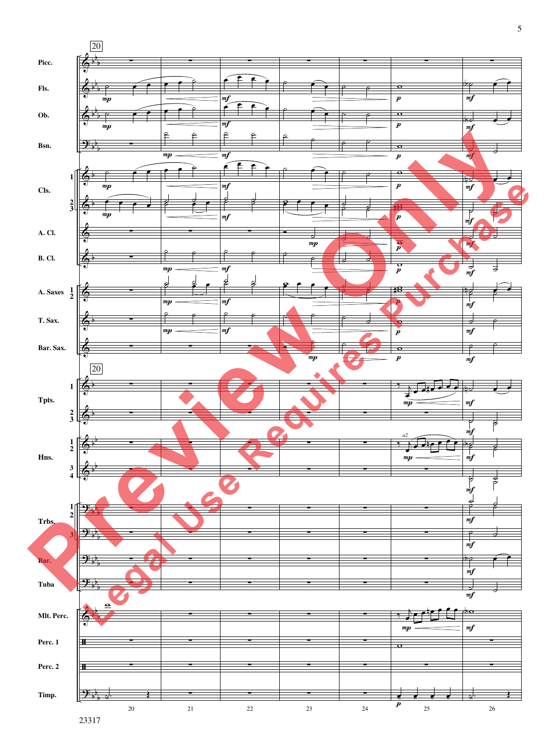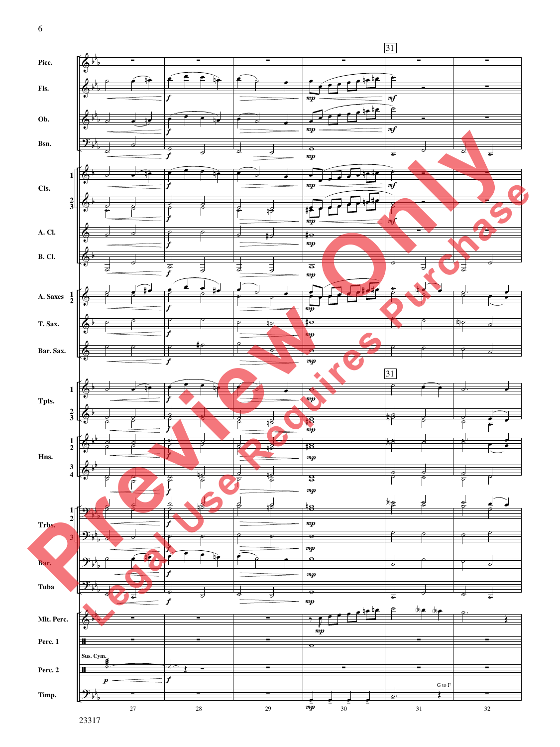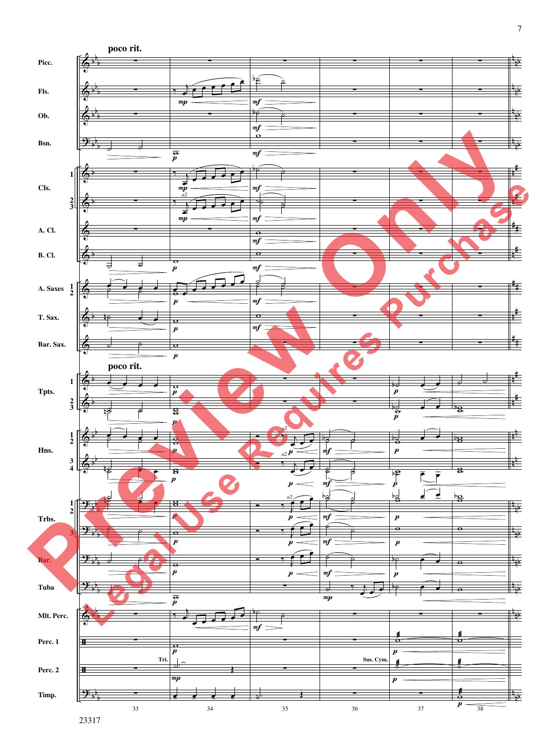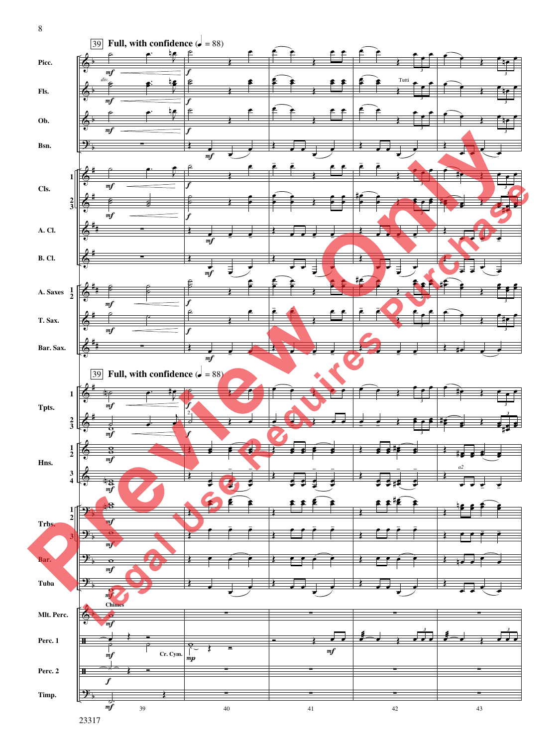

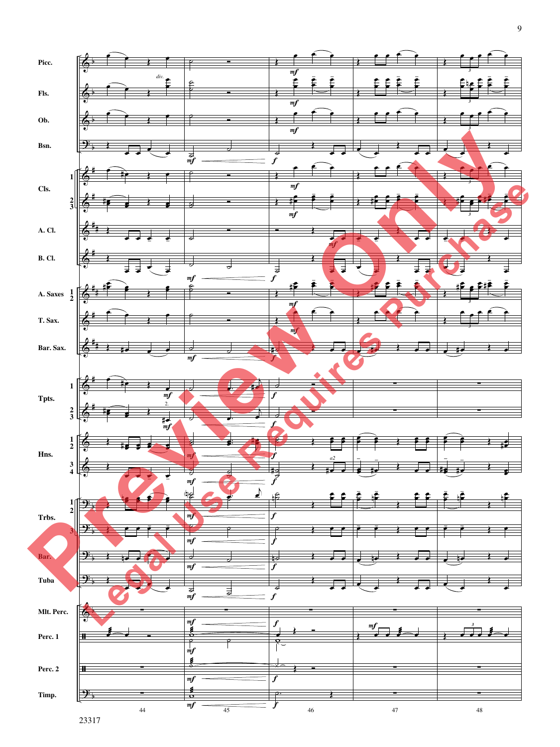

 $\overline{9}$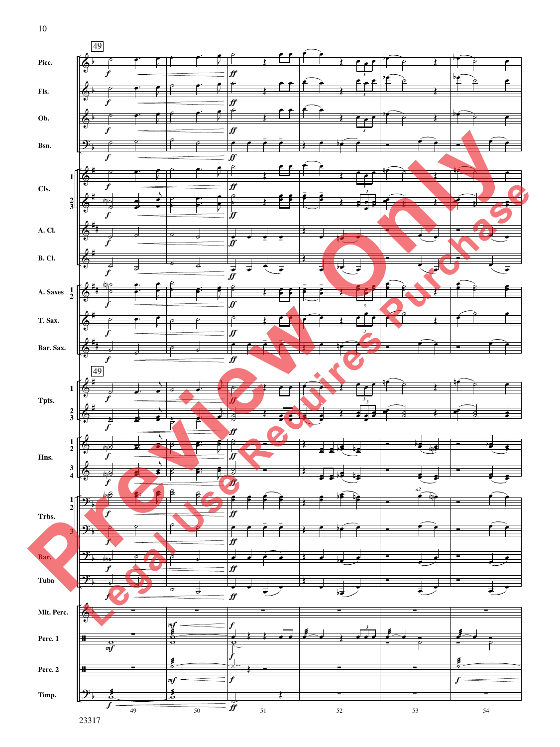

 $10\,$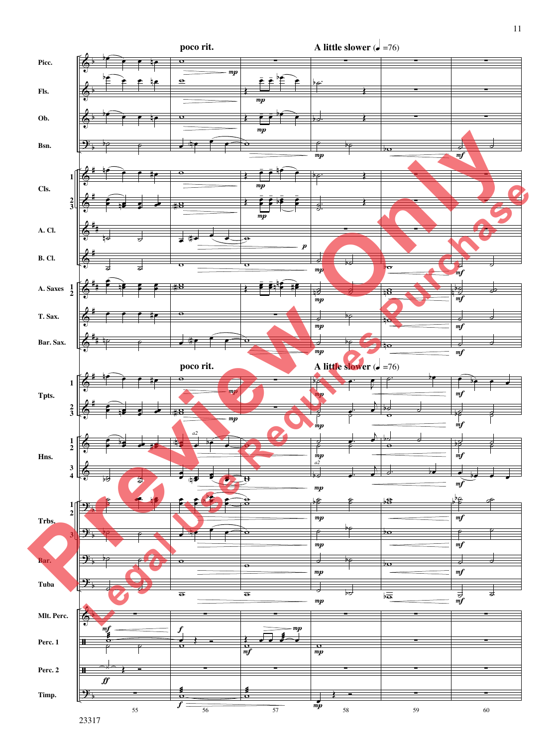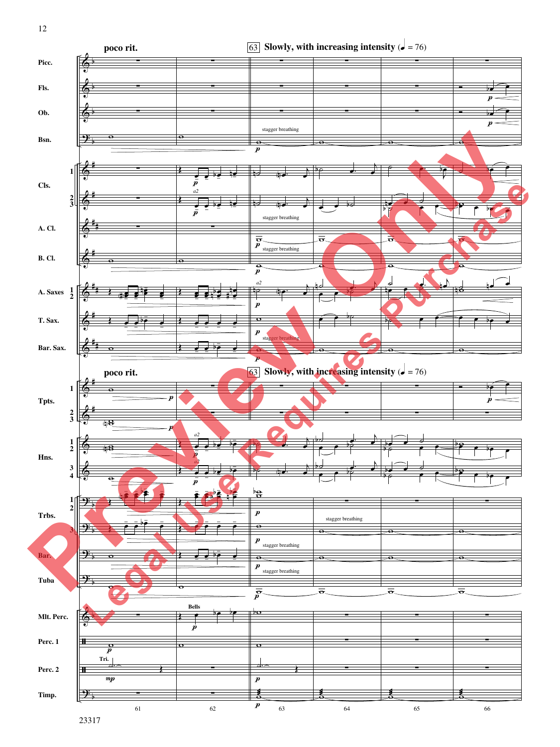

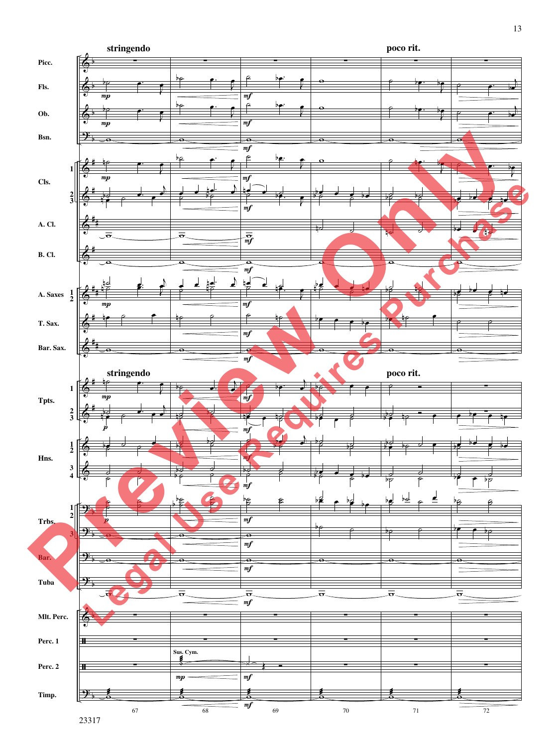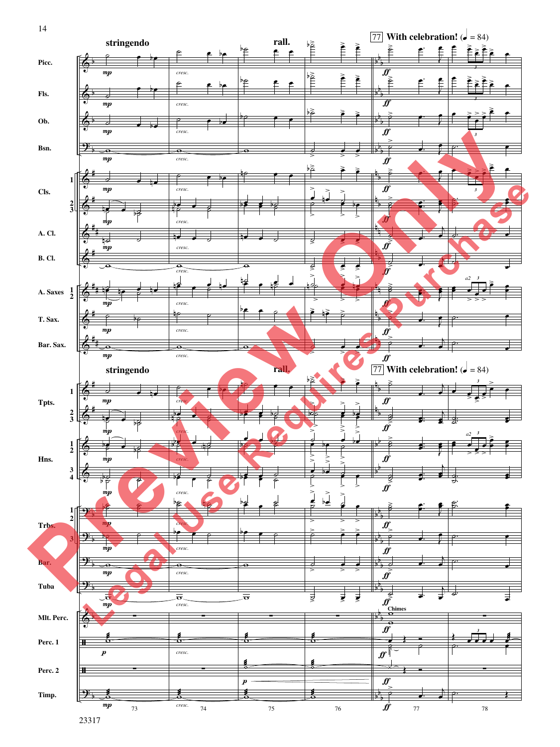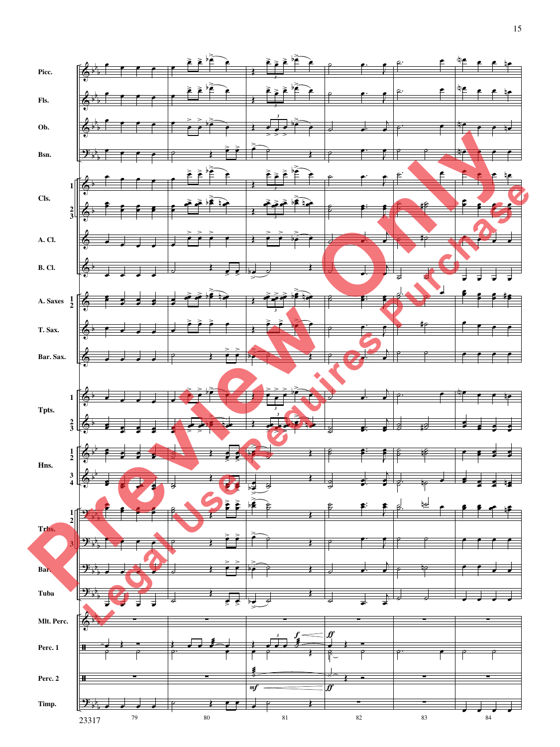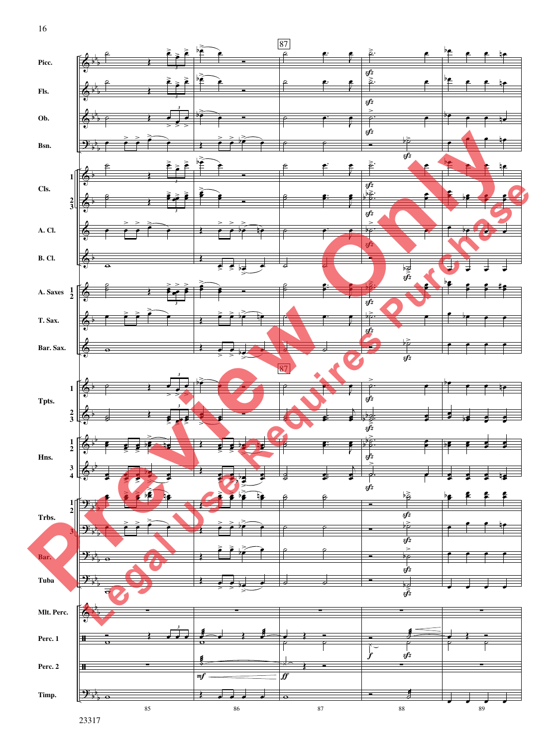

 $16\,$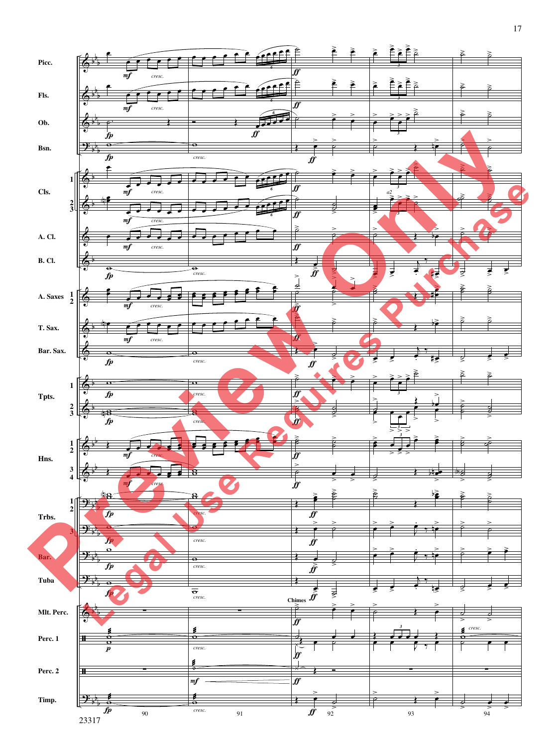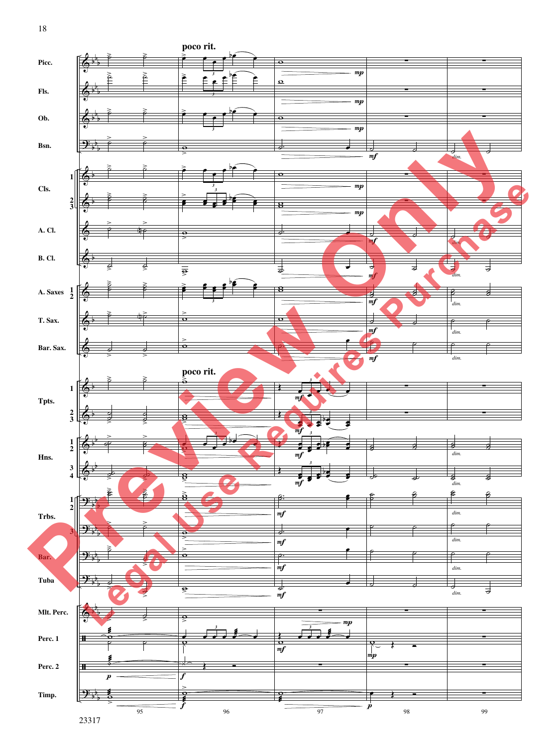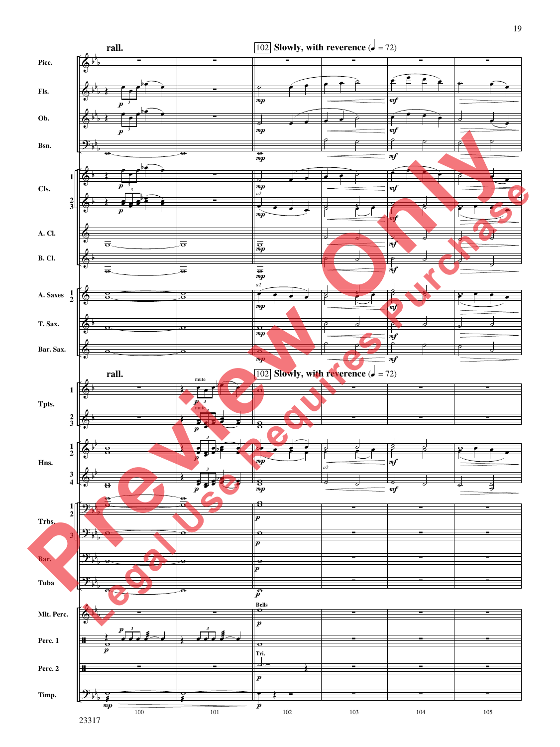